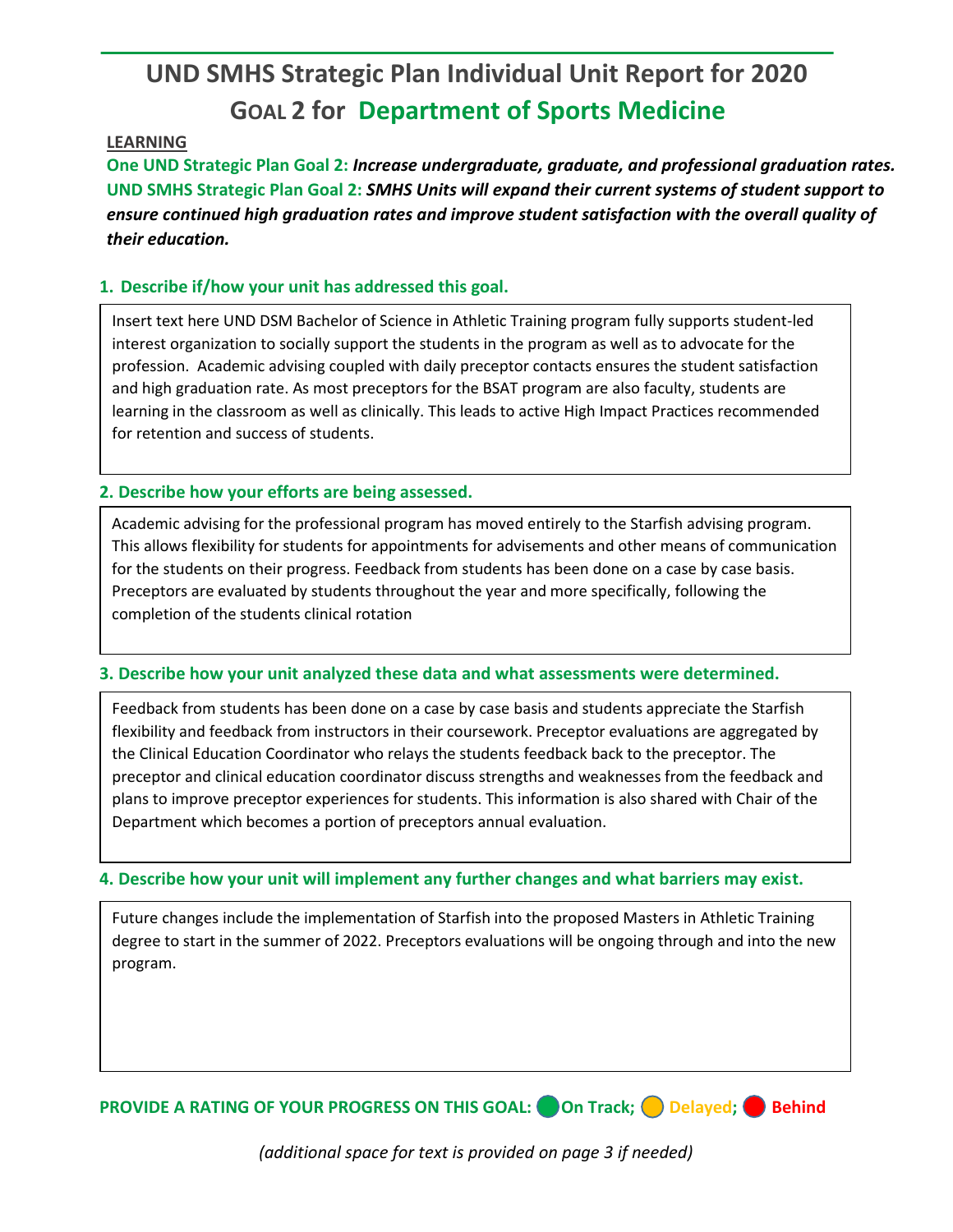# **UND SMHS Strategic Plan Individual Unit Report for 2020 GOAL 2 for Department of Sports Medicine**

## **LEARNING**

**One UND Strategic Plan Goal 2:** *Increase undergraduate, graduate, and professional graduation rates.* **UND SMHS Strategic Plan Goal 2:** *SMHS Units will expand their current systems of student support to ensure continued high graduation rates and improve student satisfaction with the overall quality of their education.*

## **1. Describe if/how your unit has addressed this goal.**

Insert text here UND DSM Bachelor of Science in Athletic Training program fully supports student-led interest organization to socially support the students in the program as well as to advocate for the profession. Academic advising coupled with daily preceptor contacts ensures the student satisfaction and high graduation rate. As most preceptors for the BSAT program are also faculty, students are learning in the classroom as well as clinically. This leads to active High Impact Practices recommended for retention and success of students.

## **2. Describe how your efforts are being assessed.**

Academic advising for the professional program has moved entirely to the Starfish advising program. This allows flexibility for students for appointments for advisements and other means of communication for the students on their progress. Feedback from students has been done on a case by case basis. Preceptors are evaluated by students throughout the year and more specifically, following the completion of the students clinical rotation

## **3. Describe how your unit analyzed these data and what assessments were determined.**

Feedback from students has been done on a case by case basis and students appreciate the Starfish flexibility and feedback from instructors in their coursework. Preceptor evaluations are aggregated by the Clinical Education Coordinator who relays the students feedback back to the preceptor. The preceptor and clinical education coordinator discuss strengths and weaknesses from the feedback and plans to improve preceptor experiences for students. This information is also shared with Chair of the Department which becomes a portion of preceptors annual evaluation.

## **4. Describe how your unit will implement any further changes and what barriers may exist.**

Future changes include the implementation of Starfish into the proposed Masters in Athletic Training degree to start in the summer of 2022. Preceptors evaluations will be ongoing through and into the new program.

**PROVIDE A RATING OF YOUR PROGRESS ON THIS GOAL:** On Track; Delayed; Behind

*(additional space for text is provided on page 3 if needed)*